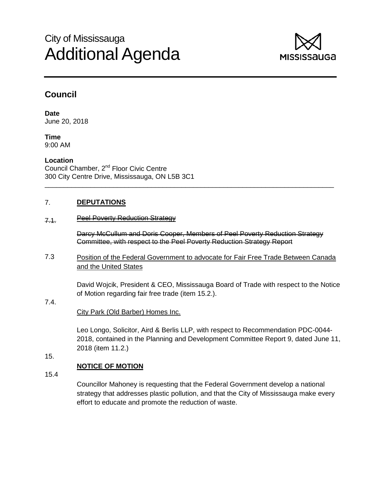# City of Mississauga Additional Agenda



## **Council**

**Date** June 20, 2018

**Time** 9:00 AM

**Location** Council Chamber, 2<sup>nd</sup> Floor Civic Centre 300 City Centre Drive, Mississauga, ON L5B 3C1

#### 7. **DEPUTATIONS**

#### 7.1. Peel Poverty Reduction Strategy

Darcy McCullum and Doris Cooper, Members of Peel Poverty Reduction Strategy Committee, with respect to the Peel Poverty Reduction Strategy Report

7.3 Position of the Federal Government to advocate for Fair Free Trade Between Canada and the United States

\_\_\_\_\_\_\_\_\_\_\_\_\_\_\_\_\_\_\_\_\_\_\_\_\_\_\_\_\_\_\_\_\_\_\_\_\_\_\_\_\_\_\_\_\_\_\_\_\_\_\_\_\_\_\_\_\_\_\_\_\_\_\_\_\_\_\_\_\_\_\_\_\_\_\_\_

David Wojcik, President & CEO, Mississauga Board of Trade with respect to the Notice of Motion regarding fair free trade (item 15.2.).

### City Park (Old Barber) Homes Inc.

Leo Longo, Solicitor, Aird & Berlis LLP, with respect to Recommendation PDC-0044- 2018, contained in the Planning and Development Committee Report 9, dated June 11, 2018 (item 11.2.)

15.

7.4.

#### **NOTICE OF MOTION**

15.4

Councillor Mahoney is requesting that the Federal Government develop a national strategy that addresses plastic pollution, and that the City of Mississauga make every effort to educate and promote the reduction of waste.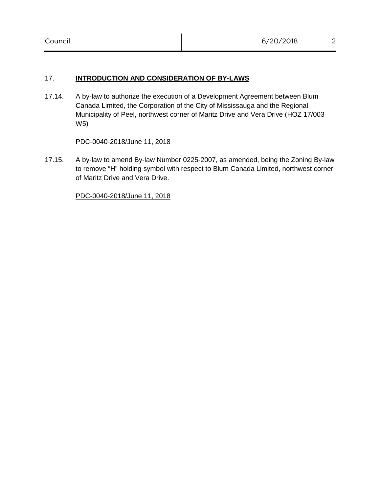#### 17. **INTRODUCTION AND CONSIDERATION OF BY-LAWS**

17.14. A by-law to authorize the execution of a Development Agreement between Blum Canada Limited, the Corporation of the City of Mississauga and the Regional Municipality of Peel, northwest corner of Maritz Drive and Vera Drive (HOZ 17/003 W5)

#### PDC-0040-2018/June 11, 2018

17.15. A by-law to amend By-law Number 0225-2007, as amended, being the Zoning By-law to remove "H" holding symbol with respect to Blum Canada Limited, northwest corner of Maritz Drive and Vera Drive.

PDC-0040-2018/June 11, 2018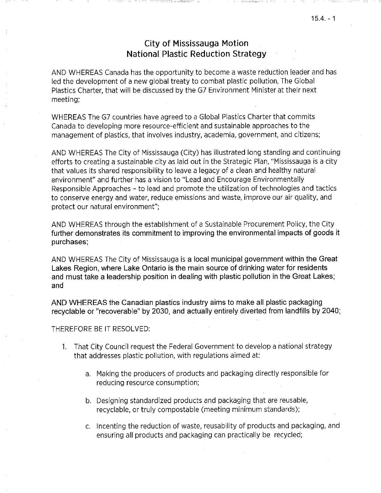### **City of Mississauga Motion National Plastic Reduction Strategy**

AND WHEREAS Canada has the opportunity to become a waste reduction leader and has led the development of a new global treaty to combat plastic pollution, The Global Plastics Charter, that will be discussed by the G7 Environment Minister at their next meeting;

WHEREAS The G7 countries have agreed to a Global Plastics Charter that commits Canada to developing more resource-efficient and sustainable approaches to the management of plastics, that involves industry, academia, government, and citizens;

AND WHEREAS The City of Mississauga (City) has illustrated long standing and continuing efforts to creating a sustainable city as laid out in the Strategic Plan, "Mississauga is a city that values its shared responsibility to leave a legacy of a clean and healthy natural environment" and further has a vision to "Lead and Encourage Environmentally Responsible Approaches - to lead and promote the utilization of technologies and tactics to conserve energy and water, reduce emissions and waste, improve our air quality, and protect our natural environment":

AND WHEREAS through the establishment of a Sustainable Procurement Policy, the City further demonstrates its commitment to improving the environmental impacts of goods it purchases;

AND WHEREAS The City of Mississauga is a local municipal government within the Great Lakes Region, where Lake Ontario is the main source of drinking water for residents and must take a leadership position in dealing with plastic pollution in the Great Lakes; and

AND WHEREAS the Canadian plastics industry aims to make all plastic packaging recyclable or "recoverable" by 2030, and actually entirely diverted from landfills by 2040;

#### THEREFORE BE IT RESOLVED:

- 1. That City Council request the Federal Government to develop a national strategy that addresses plastic pollution, with regulations aimed at:
	- a. Making the producers of products and packaging directly responsible for reducing resource consumption;
	- b. Designing standardized products and packaging that are reusable, recyclable, or truly compostable (meeting minimum standards);
	- c. Incenting the reduction of waste, reusability of products and packaging, and ensuring all products and packaging can practically be recycled;